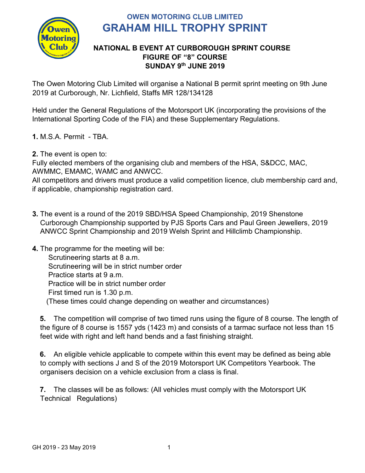

# **OWEN MOTORING CLUB LIMITED GRAHAM HILL TROPHY SPRINT**

#### **NATIONAL B EVENT AT CURBOROUGH SPRINT COURSE FIGURE OF "8" COURSE SUNDAY 9 th JUNE 2019**

The Owen Motoring Club Limited will organise a National B permit sprint meeting on 9th June 2019 at Curborough, Nr. Lichfield, Staffs MR 128/134128

Held under the General Regulations of the Motorsport UK (incorporating the provisions of the International Sporting Code of the FIA) and these Supplementary Regulations.

- **1.** M.S.A. Permit TBA.
- **2.** The event is open to:

Fully elected members of the organising club and members of the HSA, S&DCC, MAC, AWMMC, EMAMC, WAMC and ANWCC.

All competitors and drivers must produce a valid competition licence, club membership card and, if applicable, championship registration card.

- **3.** The event is a round of the 2019 SBD/HSA Speed Championship, 2019 Shenstone Curborough Championship supported by PJS Sports Cars and Paul Green Jewellers, 2019 ANWCC Sprint Championship and 2019 Welsh Sprint and Hillclimb Championship.
- **4.** The programme for the meeting will be: Scrutineering starts at 8 a.m. Scrutineering will be in strict number order Practice starts at 9 a.m. Practice will be in strict number order First timed run is 1.30 p.m. (These times could change depending on weather and circumstances)

**5.** The competition will comprise of two timed runs using the figure of 8 course. The length of the figure of 8 course is 1557 yds (1423 m) and consists of a tarmac surface not less than 15 feet wide with right and left hand bends and a fast finishing straight.

**6.** An eligible vehicle applicable to compete within this event may be defined as being able to comply with sections J and S of the 2019 Motorsport UK Competitors Yearbook. The organisers decision on a vehicle exclusion from a class is final.

**7.** The classes will be as follows: (All vehicles must comply with the Motorsport UK Technical Regulations)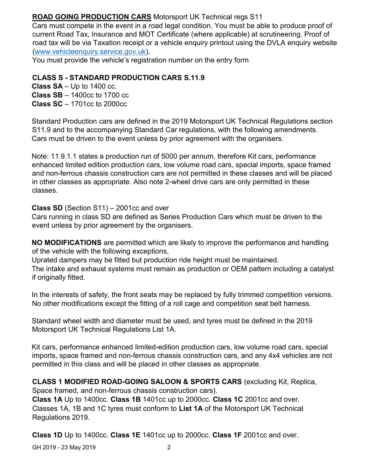# **ROAD GOING PRODUCTION CARS** Motorsport UK Technical regs S11

Cars must compete in the event in a road legal condition. You must be able to produce proof of current Road Tax, Insurance and MOT Certificate (where applicable) at scrutineering. Proof of road tax will be via Taxation receipt or a vehicle enquiry printout using the DVLA enquiry website [\(www.vehicleenquiry.service.gov.uk\)](http://www.vehicleenquiry.service.gov.uk/).

You must provide the vehicle's registration number on the entry form

#### **CLASS S - STANDARD PRODUCTION CARS S.11.9**

**Class SA** – Up to 1400 cc. **Class SB** – 1400cc to 1700 cc **Class SC** – 1701cc to 2000cc

Standard Production cars are defined in the 2019 Motorsport UK Technical Regulations section S11.9 and to the accompanying Standard Car regulations, with the following amendments. Cars must be driven to the event unless by prior agreement with the organisers.

Note: 11.9.1.1 states a production run of 5000 per annum, therefore Kit cars, performance enhanced limited edition production cars, low volume road cars, special imports, space framed and non-ferrous chassis construction cars are not permitted in these classes and will be placed in other classes as appropriate. Also note 2-wheel drive cars are only permitted in these classes.

**Class SD** (Section S11) – 2001cc and over

Cars running in class SD are defined as Series Production Cars which must be driven to the event unless by prior agreement by the organisers.

**NO MODIFICATIONS** are permitted which are likely to improve the performance and handling of the vehicle with the following exceptions,

Uprated dampers may be fitted but production ride height must be maintained.

The intake and exhaust systems must remain as production or OEM pattern including a catalyst if originally fitted.

In the interests of safety, the front seats may be replaced by fully trimmed competition versions. No other modifications except the fitting of a roll cage and competition seat belt harness.

Standard wheel width and diameter must be used, and tyres must be defined in the 2019 Motorsport UK Technical Regulations List 1A.

Kit cars, performance enhanced limited-edition production cars, low volume road cars, special imports, space framed and non-ferrous chassis construction cars, and any 4x4 vehicles are not permitted in this class and will be placed in other classes as appropriate.

#### **CLASS 1 MODIFIED ROAD-GOING SALOON & SPORTS CARS** (excluding Kit, Replica,

Space framed, and non-ferrous chassis construction cars).

**Class 1A** Up to 1400cc. **Class 1B** 1401cc up to 2000cc. **Class 1C** 2001cc and over. Classes 1A, 1B and 1C tyres must conform to **List 1A** of the Motorsport UK Technical Regulations 2019.

**Class 1D** Up to 1400cc. **Class 1E** 1401cc up to 2000cc. **Class 1F** 2001cc and over.

GH 2019 - 23 May 2019 2019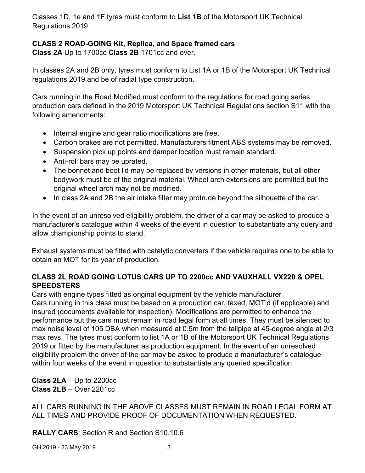Classes 1D, 1e and 1F tyres must conform to **List 1B** of the Motorsport UK Technical Regulations 2019

# **CLASS 2 ROAD-GOING Kit, Replica, and Space framed cars**

**Class 2A** Up to 1700cc **Class 2B** 1701cc and over.

In classes 2A and 2B only, tyres must conform to List 1A or 1B of the Motorsport UK Technical regulations 2019 and be of radial type construction.

Cars running in the Road Modified must conform to the regulations for road going series production cars defined in the 2019 Motorsport UK Technical Regulations section S11 with the following amendments:

- Internal engine and gear ratio modifications are free.
- Carbon brakes are not permitted. Manufacturers fitment ABS systems may be removed.
- Suspension pick up points and damper location must remain standard.
- Anti-roll bars may be uprated.
- The bonnet and boot lid may be replaced by versions in other materials, but all other bodywork must be of the original material. Wheel arch extensions are permitted but the original wheel arch may not be modified.
- In class 2A and 2B the air intake filter may protrude beyond the silhouette of the car.

In the event of an unresolved eligibility problem, the driver of a car may be asked to produce a manufacturer's catalogue within 4 weeks of the event in question to substantiate any query and allow championship points to stand.

Exhaust systems must be fitted with catalytic converters if the vehicle requires one to be able to obtain an MOT for its year of production.

# **CLASS 2L ROAD GOING LOTUS CARS UP TO 2200cc AND VAUXHALL VX220 & OPEL SPEEDSTERS**

Cars with engine types fitted as original equipment by the vehicle manufacturer Cars running in this class must be based on a production car, taxed, MOT'd (if applicable) and insured (documents available for inspection). Modifications are permitted to enhance the performance but the cars must remain in road legal form at all times. They must be silenced to max noise level of 105 DBA when measured at 0.5m from the tailpipe at 45-degree angle at 2/3 max revs. The tyres must conform to list 1A or 1B of the Motorsport UK Technical Regulations 2019 or fitted by the manufacturer as production equipment. In the event of an unresolved eligibility problem the driver of the car may be asked to produce a manufacturer's catalogue within four weeks of the event in question to substantiate any queried specification.

**Class 2LA** – Up to 2200cc **Class 2LB** – Over 2201cc

ALL CARS RUNNING IN THE ABOVE CLASSES MUST REMAIN IN ROAD LEGAL FORM AT ALL TIMES AND PROVIDE PROOF OF DOCUMENTATION WHEN REQUESTED.

**RALLY CARS**: Section R and Section S10.10.6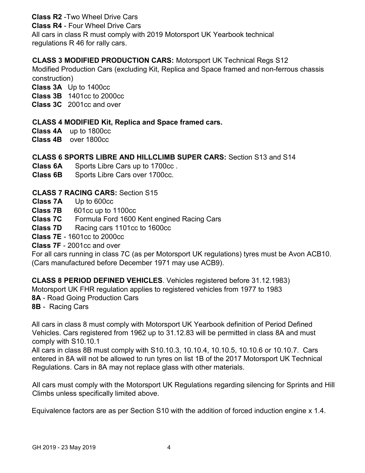# **Class R2** -Two Wheel Drive Cars

**Class R4** - Four Wheel Drive Cars

All cars in class R must comply with 2019 Motorsport UK Yearbook technical regulations R 46 for rally cars.

#### **CLASS 3 MODIFIED PRODUCTION CARS:** Motorsport UK Technical Regs S12

Modified Production Cars (excluding Kit, Replica and Space framed and non-ferrous chassis construction)

**Class 3A** Up to 1400cc

**Class 3B** 1401cc to 2000cc

**Class 3C** 2001cc and over

# **CLASS 4 MODIFIED Kit, Replica and Space framed cars.**

**Class 4A** up to 1800cc

**Class 4B** over 1800cc

#### **CLASS 6 SPORTS LIBRE AND HILLCLIMB SUPER CARS:** Section S13 and S14

**Class 6A** Sports Libre Cars up to 1700cc .

**Class 6B** Sports Libre Cars over 1700cc.

# **CLASS 7 RACING CARS:** Section S15

- **Class 7A** Up to 600cc
- **Class 7B** 601cc up to 1100cc
- **Class 7C** Formula Ford 1600 Kent engined Racing Cars
- **Class 7D** Racing cars 1101cc to 1600cc

**Class 7E** - 1601cc to 2000cc

**Class 7F** - 2001cc and over

For all cars running in class 7C (as per Motorsport UK regulations) tyres must be Avon ACB10. (Cars manufactured before December 1971 may use ACB9).

**CLASS 8 PERIOD DEFINED VEHICLES**. Vehicles registered before 31.12.1983)

Motorsport UK FHR regulation applies to registered vehicles from 1977 to 1983

**8A** - Road Going Production Cars

**8B** - Racing Cars

All cars in class 8 must comply with Motorsport UK Yearbook definition of Period Defined Vehicles. Cars registered from 1962 up to 31.12.83 will be permitted in class 8A and must comply with S10.10.1

All cars in class 8B must comply with S10.10.3, 10.10.4, 10.10.5, 10.10.6 or 10.10.7. Cars entered in 8A will not be allowed to run tyres on list 1B of the 2017 Motorsport UK Technical Regulations. Cars in 8A may not replace glass with other materials.

All cars must comply with the Motorsport UK Regulations regarding silencing for Sprints and Hill Climbs unless specifically limited above.

Equivalence factors are as per Section S10 with the addition of forced induction engine x 1.4.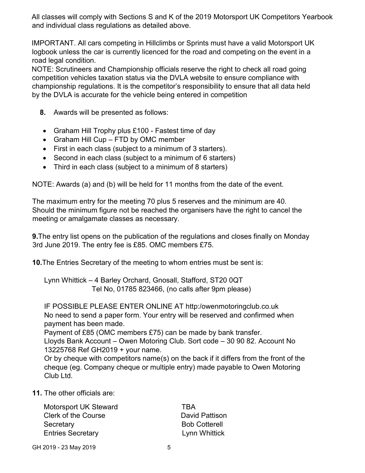All classes will comply with Sections S and K of the 2019 Motorsport UK Competitors Yearbook and individual class regulations as detailed above.

IMPORTANT. All cars competing in Hillclimbs or Sprints must have a valid Motorsport UK logbook unless the car is currently licenced for the road and competing on the event in a road legal condition.

NOTE: Scrutineers and Championship officials reserve the right to check all road going competition vehicles taxation status via the DVLA website to ensure compliance with championship regulations. It is the competitor's responsibility to ensure that all data held by the DVLA is accurate for the vehicle being entered in competition

- **8.** Awards will be presented as follows:
- Graham Hill Trophy plus £100 Fastest time of day
- Graham Hill Cup FTD by OMC member
- First in each class (subject to a minimum of 3 starters).
- Second in each class (subject to a minimum of 6 starters)
- Third in each class (subject to a minimum of 8 starters)

NOTE: Awards (a) and (b) will be held for 11 months from the date of the event.

The maximum entry for the meeting 70 plus 5 reserves and the minimum are 40. Should the minimum figure not be reached the organisers have the right to cancel the meeting or amalgamate classes as necessary.

**9.**The entry list opens on the publication of the regulations and closes finally on Monday 3rd June 2019. The entry fee is £85. OMC members £75.

**10.**The Entries Secretary of the meeting to whom entries must be sent is:

Lynn Whittick – 4 Barley Orchard, Gnosall, Stafford, ST20 0QT Tel No, 01785 823466, (no calls after 9pm please)

IF POSSIBLE PLEASE ENTER ONLINE AT http:/owenmotoringclub.co.uk No need to send a paper form. Your entry will be reserved and confirmed when payment has been made.

Payment of £85 (OMC members £75) can be made by bank transfer.

Lloyds Bank Account – Owen Motoring Club. Sort code – 30 90 82. Account No 13225768 Ref GH2019 + your name.

Or by cheque with competitors name(s) on the back if it differs from the front of the cheque (eg. Company cheque or multiple entry) made payable to Owen Motoring Club Ltd.

**11.** The other officials are:

Motorsport UK Steward TBA Clerk of the Course **David Pattison** Secretary **Bob Cotterell Entries Secretary Lynn Whittick** 

GH 2019 - 23 May 2019 **5**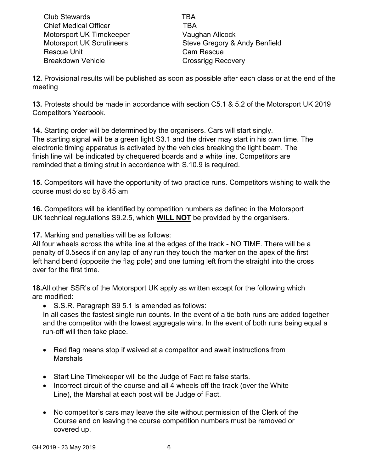Club Stewards TBA Chief Medical Officer **TBA** Motorsport UK Timekeeper Vaughan Allcock Rescue Unit **Cam Rescue** Breakdown Vehicle **Crossrigg Recovery** 

Motorsport UK Scrutineers Steve Gregory & Andy Benfield

**12.** Provisional results will be published as soon as possible after each class or at the end of the meeting

**13.** Protests should be made in accordance with section C5.1 & 5.2 of the Motorsport UK 2019 Competitors Yearbook.

**14.** Starting order will be determined by the organisers. Cars will start singly. The starting signal will be a green light S3.1 and the driver may start in his own time. The electronic timing apparatus is activated by the vehicles breaking the light beam. The finish line will be indicated by chequered boards and a white line. Competitors are reminded that a timing strut in accordance with S.10.9 is required.

**15.** Competitors will have the opportunity of two practice runs. Competitors wishing to walk the course must do so by 8.45 am

**16.** Competitors will be identified by competition numbers as defined in the Motorsport UK technical regulations S9.2.5, which **WILL NOT** be provided by the organisers.

**17.** Marking and penalties will be as follows:

All four wheels across the white line at the edges of the track - NO TIME. There will be a penalty of 0.5secs if on any lap of any run they touch the marker on the apex of the first left hand bend (opposite the flag pole) and one turning left from the straight into the cross over for the first time.

**18.**All other SSR's of the Motorsport UK apply as written except for the following which are modified:

• S.S.R. Paragraph S9 5.1 is amended as follows:

In all cases the fastest single run counts. In the event of a tie both runs are added together and the competitor with the lowest aggregate wins. In the event of both runs being equal a run-off will then take place.

- Red flag means stop if waived at a competitor and await instructions from Marshals
- Start Line Timekeeper will be the Judge of Fact re false starts.
- Incorrect circuit of the course and all 4 wheels off the track (over the White Line), the Marshal at each post will be Judge of Fact.
- No competitor's cars may leave the site without permission of the Clerk of the Course and on leaving the course competition numbers must be removed or covered up.